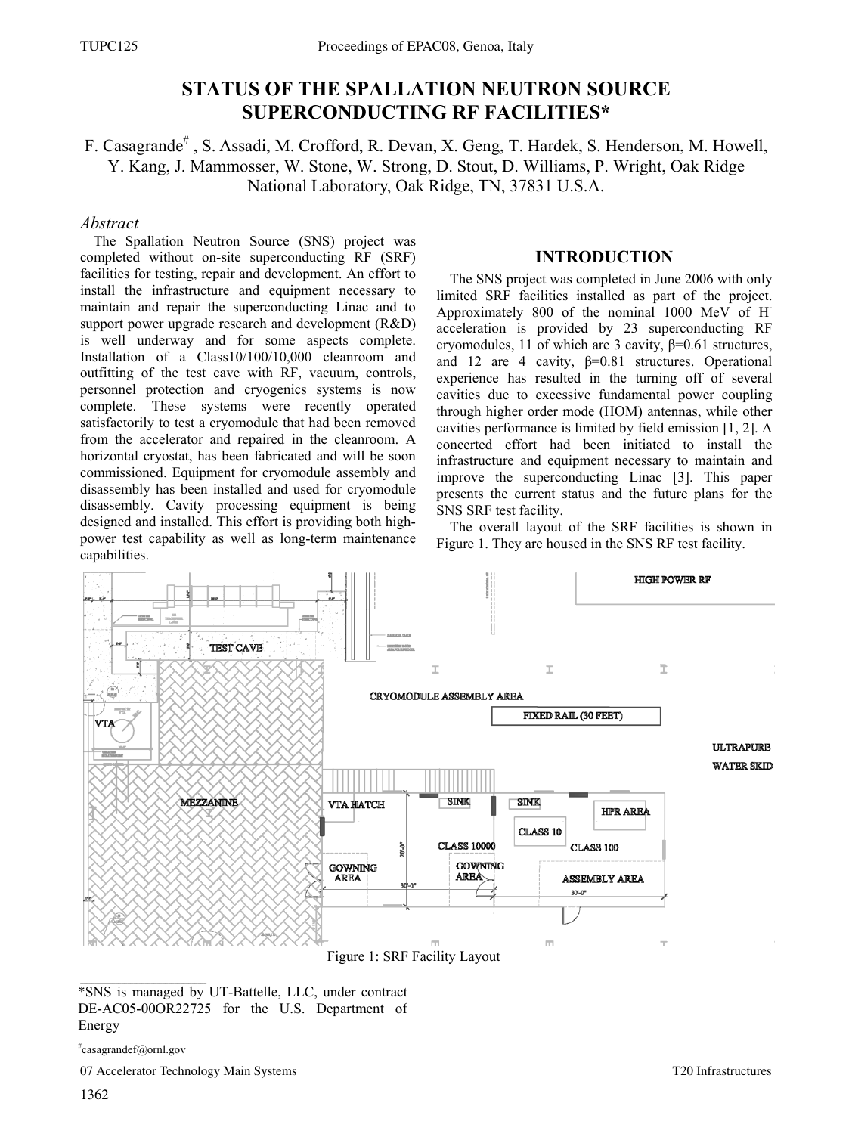# **STATUS OF THE SPALLATION NEUTRON SOURCE SUPERCONDUCTING RF FACILITIES\***

# F. Casagrande<sup>#</sup>, S. Assadi, M. Crofford, R. Devan, X. Geng, T. Hardek, S. Henderson, M. Howell, Y. Kang, J. Mammosser, W. Stone, W. Strong, D. Stout, D. Williams, P. Wright, Oak Ridge National Laboratory, Oak Ridge, TN, 37831 U.S.A.

# *Abstract*

The Spallation Neutron Source (SNS) project was completed without on-site superconducting RF (SRF) facilities for testing, repair and development. An effort to install the infrastructure and equipment necessary to maintain and repair the superconducting Linac and to support power upgrade research and development (R&D) is well underway and for some aspects complete. Installation of a Class10/100/10,000 cleanroom and outfitting of the test cave with RF, vacuum, controls, personnel protection and cryogenics systems is now complete. These systems were recently operated satisfactorily to test a cryomodule that had been removed from the accelerator and repaired in the cleanroom. A horizontal cryostat, has been fabricated and will be soon commissioned. Equipment for cryomodule assembly and disassembly has been installed and used for cryomodule disassembly. Cavity processing equipment is being designed and installed. This effort is providing both highpower test capability as well as long-term maintenance capabilities.

### **INTRODUCTION**

The SNS project was completed in June 2006 with only limited SRF facilities installed as part of the project. Approximately 800 of the nominal 1000 MeV of Hacceleration is provided by 23 superconducting RF cryomodules, 11 of which are 3 cavity, β=0.61 structures, and 12 are 4 cavity,  $\beta = 0.81$  structures. Operational experience has resulted in the turning off of several cavities due to excessive fundamental power coupling through higher order mode (HOM) antennas, while other cavities performance is limited by field emission [1, 2]. A concerted effort had been initiated to install the infrastructure and equipment necessary to maintain and improve the superconducting Linac [3]. This paper presents the current status and the future plans for the SNS SRF test facility.

The overall layout of the SRF facilities is shown in Figure 1. They are housed in the SNS RF test facility.



\*SNS is managed by UT-Battelle, LLC, under contract DE-AC05-00OR22725 for the U.S. Department of

```
#
casagrandef@ornl.gov
```
07 Accelerator Technology Main Systems

Energy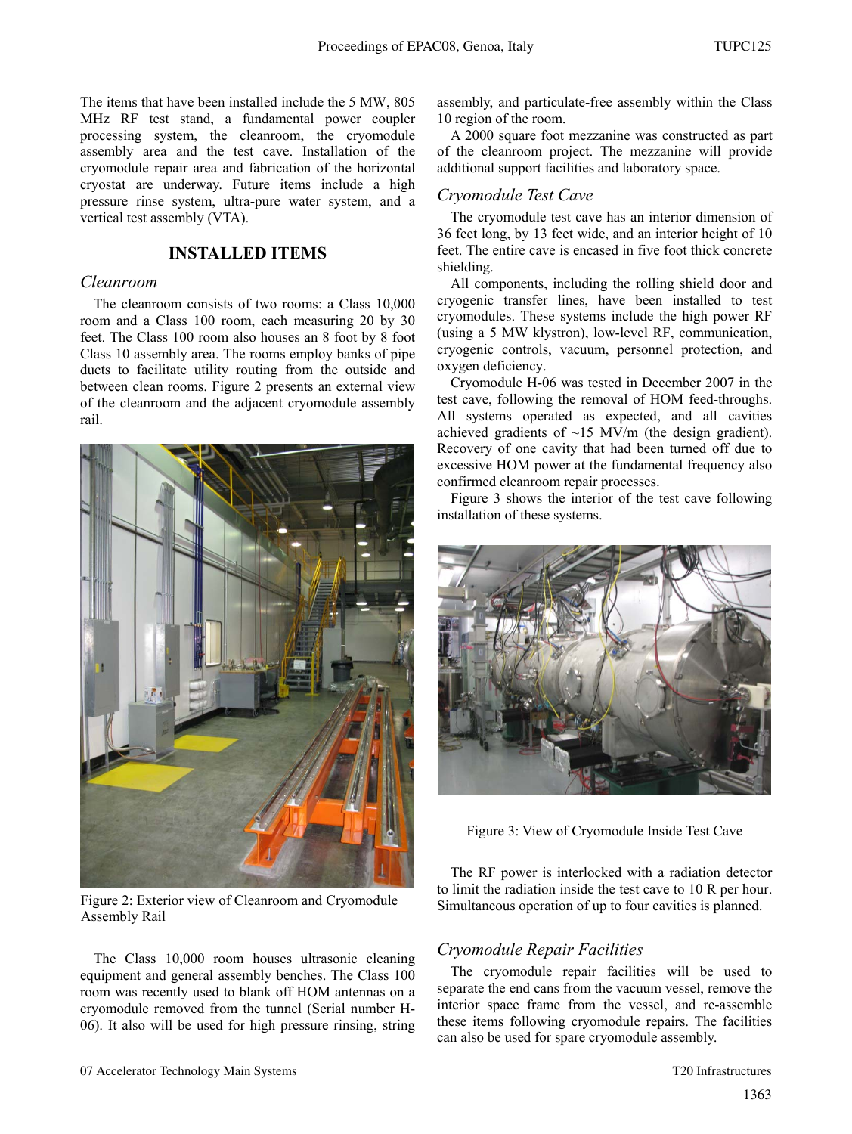The items that have been installed include the 5 MW, 805 MHz RF test stand, a fundamental power coupler processing system, the cleanroom, the cryomodule assembly area and the test cave. Installation of the cryomodule repair area and fabrication of the horizontal cryostat are underway. Future items include a high pressure rinse system, ultra-pure water system, and a vertical test assembly (VTA).

### **INSTALLED ITEMS**

#### *Cleanroom*

The cleanroom consists of two rooms: a Class 10,000 room and a Class 100 room, each measuring 20 by 30 feet. The Class 100 room also houses an 8 foot by 8 foot Class 10 assembly area. The rooms employ banks of pipe ducts to facilitate utility routing from the outside and between clean rooms. Figure 2 presents an external view of the cleanroom and the adjacent cryomodule assembly rail.



Figure 2: Exterior view of Cleanroom and Cryomodule Assembly Rail

The Class 10,000 room houses ultrasonic cleaning equipment and general assembly benches. The Class 100 room was recently used to blank off HOM antennas on a cryomodule removed from the tunnel (Serial number H-06). It also will be used for high pressure rinsing, string assembly, and particulate-free assembly within the Class 10 region of the room.

A 2000 square foot mezzanine was constructed as part of the cleanroom project. The mezzanine will provide additional support facilities and laboratory space.

#### *Cryomodule Test Cave*

The cryomodule test cave has an interior dimension of 36 feet long, by 13 feet wide, and an interior height of 10 feet. The entire cave is encased in five foot thick concrete shielding.

All components, including the rolling shield door and cryogenic transfer lines, have been installed to test cryomodules. These systems include the high power RF (using a 5 MW klystron), low-level RF, communication, cryogenic controls, vacuum, personnel protection, and oxygen deficiency.

Cryomodule H-06 was tested in December 2007 in the test cave, following the removal of HOM feed-throughs. All systems operated as expected, and all cavities achieved gradients of ~15 MV/m (the design gradient). Recovery of one cavity that had been turned off due to excessive HOM power at the fundamental frequency also confirmed cleanroom repair processes.

Figure 3 shows the interior of the test cave following installation of these systems.



Figure 3: View of Cryomodule Inside Test Cave

The RF power is interlocked with a radiation detector to limit the radiation inside the test cave to 10 R per hour. Simultaneous operation of up to four cavities is planned.

#### *Cryomodule Repair Facilities*

The cryomodule repair facilities will be used to separate the end cans from the vacuum vessel, remove the interior space frame from the vessel, and re-assemble these items following cryomodule repairs. The facilities can also be used for spare cryomodule assembly.